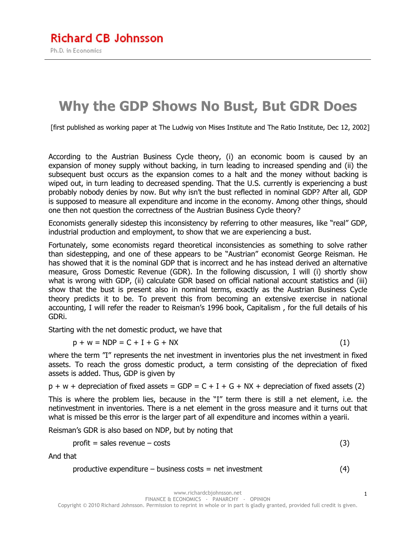# **Why the GDP Shows No Bust, But GDR Does**

[first published as working paper at The Ludwig von Mises Institute and The Ratio Institute, Dec 12, 2002]

According to the Austrian Business Cycle theory, (i) an economic boom is caused by an expansion of money supply without backing, in turn leading to increased spending and (ii) the subsequent bust occurs as the expansion comes to a halt and the money without backing is wiped out, in turn leading to decreased spending. That the U.S. currently is experiencing a bust probably nobody denies by now. But why isn't the bust reflected in nominal GDP? After all, GDP is supposed to measure all expenditure and income in the economy. Among other things, should one then not question the correctness of the Austrian Business Cycle theory?

Economists generally sidestep this inconsistency by referring to other measures, like "real" GDP, industrial production and employment, to show that we are experiencing a bust.

Fortunately, some economists regard theoretical inconsistencies as something to solve rather than sidestepping, and one of these appears to be "Austrian" economist George Reisman. He has showed that it is the nominal GDP that is incorrect and he has instead derived an alternative measure, Gross Domestic Revenue (GDR). In the following discussion, I will (i) shortly show what is wrong with GDP, (ii) calculate GDR based on official national account statistics and (iii) show that the bust is present also in nominal terms, exactly as the Austrian Business Cycle theory predicts it to be. To prevent this from becoming an extensive exercise in national accounting, I will refer the reader to Reisman's 1996 book, Capitalism , for the full details of his GDRi.

Starting with the net domestic product, we have that

$$
p + w = \text{NDP} = C + I + G + \text{NX}
$$
 (1)

where the term "I" represents the net investment in inventories plus the net investment in fixed assets. To reach the gross domestic product, a term consisting of the depreciation of fixed assets is added. Thus, GDP is given by

 $p + w +$  depreciation of fixed assets = GDP = C + I + G + NX + depreciation of fixed assets (2)

This is where the problem lies, because in the "I" term there is still a net element, i.e. the netinvestment in inventories. There is a net element in the gross measure and it turns out that what is missed be this error is the larger part of all expenditure and incomes within a yearii.

Reisman's GDR is also based on NDP, but by noting that

$$
profit = sales revenue - costs \tag{3}
$$

And that

$$
productive expenditure - business costs = net investment
$$
\n
$$
(4)
$$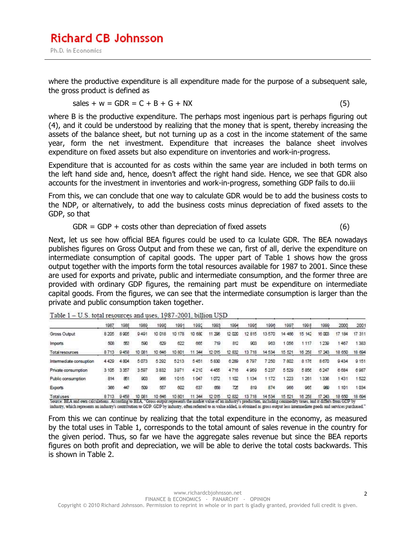where the productive expenditure is all expenditure made for the purpose of a subsequent sale, the gross product is defined as

$$
sales + w = GDR = C + B + G + Nx
$$
\n<sup>(5)</sup>

where B is the productive expenditure. The perhaps most ingenious part is perhaps figuring out (4), and it could be understood by realizing that the money that is spent, thereby increasing the assets of the balance sheet, but not turning up as a cost in the income statement of the same year, form the net investment. Expenditure that increases the balance sheet involves expenditure on fixed assets but also expenditure on inventories and work-in-progress.

Expenditure that is accounted for as costs within the same year are included in both terms on the left hand side and, hence, doesn't affect the right hand side. Hence, we see that GDR also accounts for the investment in inventories and work-in-progress, something GDP fails to do.iii

From this, we can conclude that one way to calculate GDR would be to add the business costs to the NDP, or alternatively, to add the business costs minus depreciation of fixed assets to the GDP, so that

 $GDR = GDP + costs other than depreciation of fixed assets$  (6)

Next, let us see how official BEA figures could be used to ca lculate GDR. The BEA nowadays publishes figures on Gross Output and from these we can, first of all, derive the expenditure on intermediate consumption of capital goods. The upper part of Table 1 shows how the gross output together with the imports form the total resources available for 1987 to 2001. Since these are used for exports and private, public and intermediate consumption, and the former three are provided with ordinary GDP figures, the remaining part must be expenditure on intermediate capital goods. From the figures, we can see that the intermediate consumption is larger than the private and public consumption taken together.

Table 1 - U.S. total resources and uses, 1987-2001, billion USD

|                         | 1987    | 1988 | 1989   | 1990    | 1991      | 1992          | 1993   | 1994   | 1995       | 1996    | 1997   | 1998      | 1999   | 2000      | 2001   |
|-------------------------|---------|------|--------|---------|-----------|---------------|--------|--------|------------|---------|--------|-----------|--------|-----------|--------|
| Gross Output            | 8 2 0 5 | 8905 | 9491   | 10 018  | 178<br>10 | <b>10 680</b> | 11 296 | 12 020 | 12815      | 13570   | 14 466 | 15<br>142 | 16 003 | 17<br>184 | 17 311 |
| Imports                 | 508     | 553  | 500    | 629     | 622       | 665           | 719    | 812    | 903        | 963     | 1056   | 1 1 1 7   | 1239   | 467       | 1383   |
| Total resources         | 8713    | 9458 | 10 081 | 10 646  | 10 801    | 344           | 12 015 | 12 832 | 13718      | 14 5 34 | 15 521 | 16 25 8   | 17 243 | 18 650    | 18 694 |
| Intermediate consuption | 4429    | 4804 | 5073   | 5 2 9 2 | 5213      | 5451          | 5830   | 6289   | 6.797      | 7.250   | 7.802  | а<br>176  | 8670   | 9434      | 9 151  |
| Private consumption     | 3 105   | 3357 | 3597   | 3832    | 3971      | 4210          | 4455   | 4716   | 4969       | 5 2 3 7 | 5529   | 5 8 5 6   | 6247   | 6 6 8 4   | 6987   |
| Public consumption      | 814     | 851  | 903    | 986     | 1015      | 1047          | 1072   | 102    | 134        | 1172    | 223    | 26        | 336    | 1431      | 522    |
| <b>Exports</b>          | 366     | 497  | 509    | 557     | 602       | 637           | 658    | 725    | 819        | 874     | 966    | 965       | 989    | 1 101     | 1034   |
| Totaluses               | 8713    | 9458 | 10.081 | 10 646  | 10 801    | 344           | 12015  | 12 832 | 718<br>137 | 14 5 34 | 15 521 | 16 258    | 17 243 | 18 650    | 18 694 |

Source: BEA and own calculations. According to BEA, "Gross output represents the market value of an industry's production, including commodity taxes, and it differs from GDP by industry, which represents an industry's contribution to GDP. GDP by industry, often referred to as value added, is obtained as gross output less intermediate goods and services purchased."

From this we can continue by realizing that the total expenditure in the economy, as measured by the total uses in Table 1, corresponds to the total amount of sales revenue in the country for the given period. Thus, so far we have the aggregate sales revenue but since the BEA reports figures on both profit and depreciation, we will be able to derive the total costs backwards. This is shown in Table 2.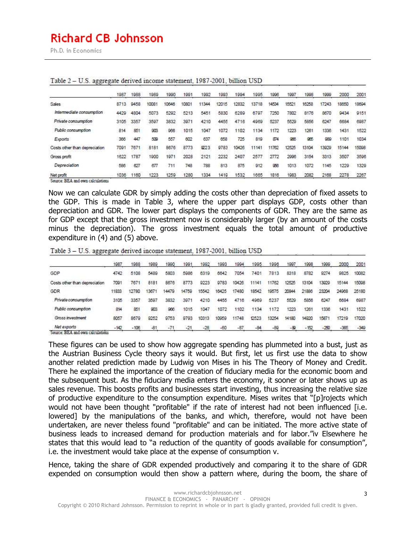# **Richard CB Johnsson**

Ph.D. in Economics

|                                                   | 1987      | 988  | 1989  | 1990  | 1991  | 1992   | 1993 | 1994  | 1995  | 1996  | 1997 | 1998  | 1999  | 2000  | 2001  |
|---------------------------------------------------|-----------|------|-------|-------|-------|--------|------|-------|-------|-------|------|-------|-------|-------|-------|
| <b>Sales</b>                                      | 87<br>13. | 9458 | 10081 | 10646 | 10801 | (1344) | 2015 | 2832  | 13718 | 14534 | 5521 | 16258 | 17243 | 18650 | 18694 |
| Intermediate consumption                          | 4429      | 4804 | 5073  | 5292  | 5213  | 5451   | 5830 | 6289  | 6797  | 7250  | 7802 | 8176  | 8670  | 9434  | 9151  |
| Private consumption                               | 3105      | 3357 | 3597  | 3832  | 3971  | 4210   | 4455 | 4716  | 4969  | 5237  | 5529 | 5856  | 6247  | 6684  | 6987  |
| Public consumption                                | 814       | 851  | 903   | 966   | 1015  | 1047   | 1072 | 1102  | 1134  | 1172  | 1223 | 1261  | 1336  | 1431  | 1522  |
| Exports                                           | 366       | 447  | 509   | 557   | 602   | 637    | 658  | 725   | 819   | 874   | 966  | 965   | 989   | 1101  | 1034  |
| Costs other than depreciation                     | 709       | 7871 | 8181  | 8676  | 8773  | 9223   | 9783 | 10426 | 11141 | 11762 | 2525 | 13104 | 13929 | 15144 | 15098 |
| Gross profit                                      | 1622      | 1787 | 1900  | 1971  | 2028  | 2121   | 2232 | 2407  | 2577  | 2772  | 2996 | 3154  | 3313  | 3507  | 3596  |
| Depreciation                                      | 586       | 627  | 877   | 711   | 748   | 788    | 813  | 875   | 912   | 966   | 1013 | 1072  | 145   | 1229  | 1329  |
| Net profit<br>Courses: DEA and ones calculations. | 1036      | 1160 | 1223  | 1259  | 1280  | 1334   | 1419 | 1532  | 1665  | 1816  | 1983 | 2082  | 2168  | 2278  | 2267  |

#### Table 2 - U.S. aggregate derived income statement, 1987-2001, billion USD

Now we can calculate GDR by simply adding the costs other than depreciation of fixed assets to the GDP. This is made in Table 3, where the upper part displays GDP, costs other than depreciation and GDR. The lower part displays the components of GDR. They are the same as for GDP except that the gross investment now is considerably larger (by an amount of the costs minus the depreciation). The gross investment equals the total amount of productive expenditure in (4) and (5) above.

| Table 3 - U.S. aggregate derived income statement, 1987-2001, billion USD |  |  |  |  |  |  |
|---------------------------------------------------------------------------|--|--|--|--|--|--|
|---------------------------------------------------------------------------|--|--|--|--|--|--|

|                                                | 1987   | 988    | 1989  | 1990  | 1991  | 1992  | 1993  | 1994  | 1995  | 996   | 1997  | 1998   | 1999   | 2000   | 2001   |
|------------------------------------------------|--------|--------|-------|-------|-------|-------|-------|-------|-------|-------|-------|--------|--------|--------|--------|
| GDP                                            | 4742   | 5108   | 5489  | 5803  | 5986  | 6319  | 6642  | 7054  | 7401  | 7813  | 8318  | 8782   | 9274   | 9825   | 10082  |
| Costs other than depreciation                  | 7091   | 7671   | 8181  | 8676  | 8773  | 9223  | 9783  | 10426 | 11141 | 1762  | 12525 | 13104  | 3929   | 15144  | 15098  |
| GDR                                            | 11833  | 12780  | 1367  | 14479 | 14759 | 15542 | 16425 | 7480  | 18542 | 19575 | 20844 | 21886  | 23204  | 24968  | 25180  |
| Private consumption                            | 3105   | 3357   | 3597  | 3832  | 3971  | 4210  | 4455  | 4716  | 4969  | 5237  | 5529  | 5856   | 6247   | 6684   | 6987   |
| Public consumption                             | 814    | 851    | 903   | 966   | 1015  | 1047  | 1072  | 1102  | 1134  | 1172  | 1223  | 1261   | 1336   | 1431   | 1522   |
| Gross investment                               | 8057   | 8679   | 9252  | 9753  | 9793  | 10313 | 10959 | 1748  | 12523 | 13254 | 14180 | 14920  | 1587   | 17219  | 17020  |
| Net exports<br>$-$<br>The contract of the con- | $-142$ | $-106$ | $-81$ | $-11$ | $-21$ | $-28$ | $-80$ | $-87$ | $-84$ | $-89$ | -89   | $-152$ | $-250$ | $-365$ | $-349$ |

Source: BEA and own calculations

These figures can be used to show how aggregate spending has plummeted into a bust, just as the Austrian Business Cycle theory says it would. But first, let us first use the data to show another related prediction made by Ludwig von Mises in his The Theory of Money and Credit. There he explained the importance of the creation of fiduciary media for the economic boom and the subsequent bust. As the fiduciary media enters the economy, it sooner or later shows up as sales revenue. This boosts profits and businesses start investing, thus increasing the relative size of productive expenditure to the consumption expenditure. Mises writes that "[p]rojects which would not have been thought "profitable" if the rate of interest had not been influenced [i.e. lowered] by the manipulations of the banks, and which, therefore, would not have been undertaken, are never theless found "profitable" and can be initiated. The more active state of business leads to increased demand for production materials and for labor."iv Elsewhere he states that this would lead to "a reduction of the quantity of goods available for consumption", i.e. the investment would take place at the expense of consumption v.

Hence, taking the share of GDR expended productively and comparing it to the share of GDR expended on consumption would then show a pattern where, during the boom, the share of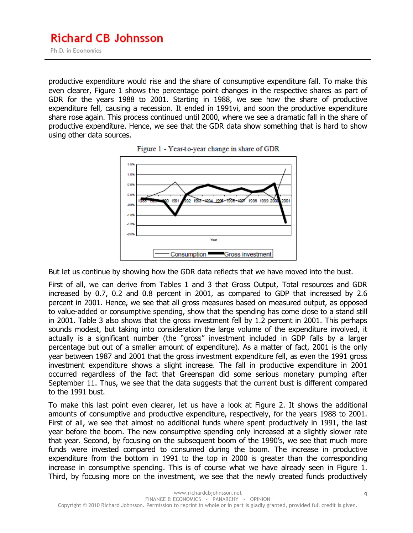productive expenditure would rise and the share of consumptive expenditure fall. To make this even clearer, Figure 1 shows the percentage point changes in the respective shares as part of GDR for the years 1988 to 2001. Starting in 1988, we see how the share of productive expenditure fell, causing a recession. It ended in 1991vi, and soon the productive expenditure share rose again. This process continued until 2000, where we see a dramatic fall in the share of productive expenditure. Hence, we see that the GDR data show something that is hard to show using other data sources.





But let us continue by showing how the GDR data reflects that we have moved into the bust.

First of all, we can derive from Tables 1 and 3 that Gross Output, Total resources and GDR increased by 0.7, 0.2 and 0.8 percent in 2001, as compared to GDP that increased by 2.6 percent in 2001. Hence, we see that all gross measures based on measured output, as opposed to value-added or consumptive spending, show that the spending has come close to a stand still in 2001. Table 3 also shows that the gross investment fell by 1.2 percent in 2001. This perhaps sounds modest, but taking into consideration the large volume of the expenditure involved, it actually is a significant number (the "gross" investment included in GDP falls by a larger percentage but out of a smaller amount of expenditure). As a matter of fact, 2001 is the only year between 1987 and 2001 that the gross investment expenditure fell, as even the 1991 gross investment expenditure shows a slight increase. The fall in productive expenditure in 2001 occurred regardless of the fact that Greenspan did some serious monetary pumping after September 11. Thus, we see that the data suggests that the current bust is different compared to the 1991 bust.

To make this last point even clearer, let us have a look at Figure 2. It shows the additional amounts of consumptive and productive expenditure, respectively, for the years 1988 to 2001. First of all, we see that almost no additional funds where spent productively in 1991, the last year before the boom. The new consumptive spending only increased at a slightly slower rate that year. Second, by focusing on the subsequent boom of the 1990's, we see that much more funds were invested compared to consumed during the boom. The increase in productive expenditure from the bottom in 1991 to the top in 2000 is greater than the corresponding increase in consumptive spending. This is of course what we have already seen in Figure 1. Third, by focusing more on the investment, we see that the newly created funds productively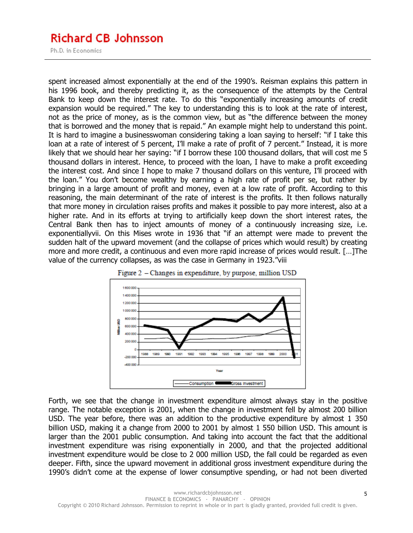## **Richard CB Johnsson**

Ph.D. in Economics

spent increased almost exponentially at the end of the 1990's. Reisman explains this pattern in his 1996 book, and thereby predicting it, as the consequence of the attempts by the Central Bank to keep down the interest rate. To do this "exponentially increasing amounts of credit expansion would be required." The key to understanding this is to look at the rate of interest, not as the price of money, as is the common view, but as "the difference between the money that is borrowed and the money that is repaid." An example might help to understand this point. It is hard to imagine a businesswoman considering taking a loan saying to herself: "if I take this loan at a rate of interest of 5 percent, I'll make a rate of profit of 7 percent." Instead, it is more likely that we should hear her saying: "if I borrow these 100 thousand dollars, that will cost me 5 thousand dollars in interest. Hence, to proceed with the loan, I have to make a profit exceeding the interest cost. And since I hope to make 7 thousand dollars on this venture, I'll proceed with the loan." You don't become wealthy by earning a high rate of profit per se, but rather by bringing in a large amount of profit and money, even at a low rate of profit. According to this reasoning, the main determinant of the rate of interest is the profits. It then follows naturally that more money in circulation raises profits and makes it possible to pay more interest, also at a higher rate. And in its efforts at trying to artificially keep down the short interest rates, the Central Bank then has to inject amounts of money of a continuously increasing size, i.e. exponentiallyvii. On this Mises wrote in 1936 that "if an attempt were made to prevent the sudden halt of the upward movement (and the collapse of prices which would result) by creating more and more credit, a continuous and even more rapid increase of prices would result. […]The value of the currency collapses, as was the case in Germany in 1923."viii





Forth, we see that the change in investment expenditure almost always stay in the positive range. The notable exception is 2001, when the change in investment fell by almost 200 billion USD. The year before, there was an addition to the productive expenditure by almost 1 350 billion USD, making it a change from 2000 to 2001 by almost 1 550 billion USD. This amount is larger than the 2001 public consumption. And taking into account the fact that the additional investment expenditure was rising exponentially in 2000, and that the projected additional investment expenditure would be close to 2 000 million USD, the fall could be regarded as even deeper. Fifth, since the upward movement in additional gross investment expenditure during the 1990's didn't come at the expense of lower consumptive spending, or had not been diverted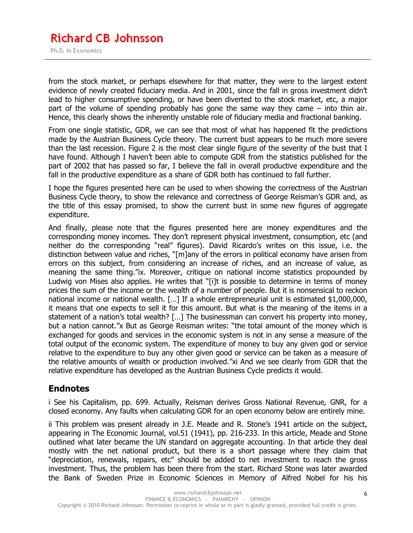from the stock market, or perhaps elsewhere for that matter, they were to the largest extent evidence of newly created fiduciary media. And in 2001, since the fall in gross investment didn't lead to higher consumptive spending, or have been diverted to the stock market, etc, a major part of the volume of spending probably has gone the same way they came – into thin air. Hence, this clearly shows the inherently unstable role of fiduciary media and fractional banking.

From one single statistic, GDR, we can see that most of what has happened fit the predictions made by the Austrian Business Cycle theory. The current bust appears to be much more severe than the last recession. Figure 2 is the most clear single figure of the severity of the bust that I have found. Although I haven't been able to compute GDR from the statistics published for the part of 2002 that has passed so far, I believe the fall in overall productive expenditure and the fall in the productive expenditure as a share of GDR both has continued to fall further.

I hope the figures presented here can be used to when showing the correctness of the Austrian Business Cycle theory, to show the relevance and correctness of George Reisman's GDR and, as the title of this essay promised, to show the current bust in some new figures of aggregate expenditure.

And finally, please note that the figures presented here are money expenditures and the corresponding money incomes. They don't represent physical investment, consumption, etc (and neither do the corresponding "real" figures). David Ricardo's writes on this issue, i.e. the distinction between value and riches, "[m]any of the errors in political economy have arisen from errors on this subject, from considering an increase of riches, and an increase of value, as meaning the same thing."ix. Moreover, critique on national income statistics propounded by Ludwig von Mises also applies. He writes that "[i]t is possible to determine in terms of money prices the sum of the income or the wealth of a number of people. But it is nonsensical to reckon national income or national wealth. […] If a whole entrepreneurial unit is estimated \$1,000,000, it means that one expects to sell it for this amount. But what is the meaning of the items in a statement of a nation's total wealth? […] The businessman can convert his property into money, but a nation cannot."x But as George Reisman writes: "the total amount of the money which is exchanged for goods and services in the economic system is not in any sense a measure of the total output of the economic system. The expenditure of money to buy any given god or service relative to the expenditure to buy any other given good or service can be taken as a measure of the relative amounts of wealth or production involved."xi And we see clearly from GDR that the relative expenditure has developed as the Austrian Business Cycle predicts it would.

### **Endnotes**

i See his Capitalism, pp. 699. Actually, Reisman derives Gross National Revenue, GNR, for a closed economy. Any faults when calculating GDR for an open economy below are entirely mine.

ii This problem was present already in J.E. Meade and R. Stone's 1941 article on the subject, appearing in The Economic Journal, vol.51 (1941), pp. 216-233. In this article, Meade and Stone outlined what later became the UN standard on aggregate accounting. In that article they deal mostly with the net national product, but there is a short passage where they claim that "depreciation, renewals, repairs, etc" should be added to net investment to reach the gross investment. Thus, the problem has been there from the start. Richard Stone was later awarded the Bank of Sweden Prize in Economic Sciences in Memory of Alfred Nobel for his his